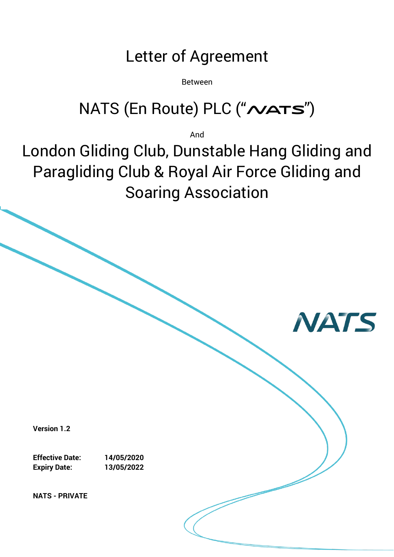# Letter of Agreement

Between

# NATS (En Route) PLC ("NATS")

And

London Gliding Club, Dunstable Hang Gliding and Paragliding Club & Royal Air Force Gliding and Soaring Association

**NATS** 

**Version 1.2**

**Effective Date: 14/05/2020 Expiry Date: 13/05/2022**

**NATS - PRIVATE**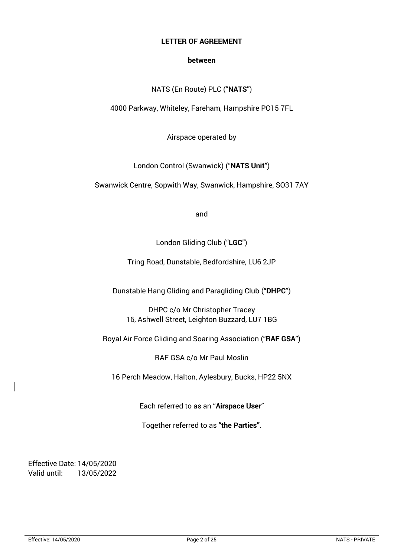#### **LETTER OF AGREEMENT**

#### **between**

#### NATS (En Route) PLC ("**NATS**")

4000 Parkway, Whiteley, Fareham, Hampshire PO15 7FL

Airspace operated by

London Control (Swanwick) ("**NATS Unit**")

Swanwick Centre, Sopwith Way, Swanwick, Hampshire, SO31 7AY

and

London Gliding Club ("**LGC**")

Tring Road, Dunstable, Bedfordshire, LU6 2JP

Dunstable Hang Gliding and Paragliding Club ("**DHPC**")

DHPC c/o Mr Christopher Tracey 16, Ashwell Street, Leighton Buzzard, LU7 1BG

Royal Air Force Gliding and Soaring Association ("**RAF GSA**")

RAF GSA c/o Mr Paul Moslin

16 Perch Meadow, Halton, Aylesbury, Bucks, HP22 5NX

Each referred to as an "**Airspace User**"

Together referred to as **"the Parties"**.

Effective Date: 14/05/2020 Valid until: 13/05/2022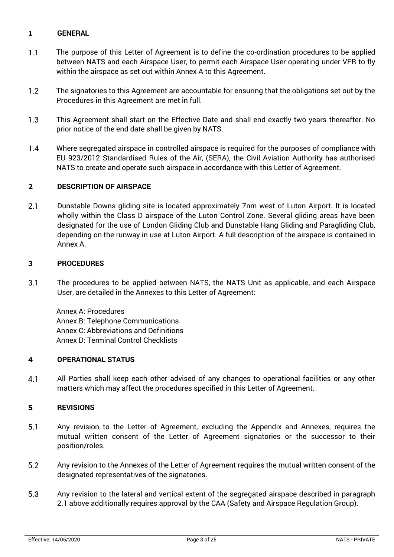#### **1 GENERAL**

- $1.1$ The purpose of this Letter of Agreement is to define the co-ordination procedures to be applied between NATS and each Airspace User, to permit each Airspace User operating under VFR to fly within the airspace as set out within Annex A to this Agreement.
- $1.2$ The signatories to this Agreement are accountable for ensuring that the obligations set out by the Procedures in this Agreement are met in full.
- This Agreement shall start on the Effective Date and shall end exactly two years thereafter. No  $1.3$ prior notice of the end date shall be given by NATS.
- $1.4$ Where segregated airspace in controlled airspace is required for the purposes of compliance with EU 923/2012 Standardised Rules of the Air, (SERA), the Civil Aviation Authority has authorised NATS to create and operate such airspace in accordance with this Letter of Agreement.

#### **2 DESCRIPTION OF AIRSPACE**

 $2.1$ Dunstable Downs gliding site is located approximately 7nm west of Luton Airport. It is located wholly within the Class D airspace of the Luton Control Zone. Several gliding areas have been designated for the use of London Gliding Club and Dunstable Hang Gliding and Paragliding Club, depending on the runway in use at Luton Airport. A full description of the airspace is contained in Annex A.

#### **3 PROCEDURES**

 $3.1$ The procedures to be applied between NATS, the NATS Unit as applicable, and each Airspace User, are detailed in the Annexes to this Letter of Agreement:

Annex A: Procedures Annex B: Telephone Communications Annex C: Abbreviations and Definitions Annex D: Terminal Control Checklists

#### **4 OPERATIONAL STATUS**

 $4.1$ All Parties shall keep each other advised of any changes to operational facilities or any other matters which may affect the procedures specified in this Letter of Agreement.

#### **5 REVISIONS**

- $5.1$ Any revision to the Letter of Agreement, excluding the Appendix and Annexes, requires the mutual written consent of the Letter of Agreement signatories or the successor to their position/roles.
- $5.2$ Any revision to the Annexes of the Letter of Agreement requires the mutual written consent of the designated representatives of the signatories.
- 5.3 Any revision to the lateral and vertical extent of the segregated airspace described in paragraph 2.1 above additionally requires approval by the CAA (Safety and Airspace Regulation Group).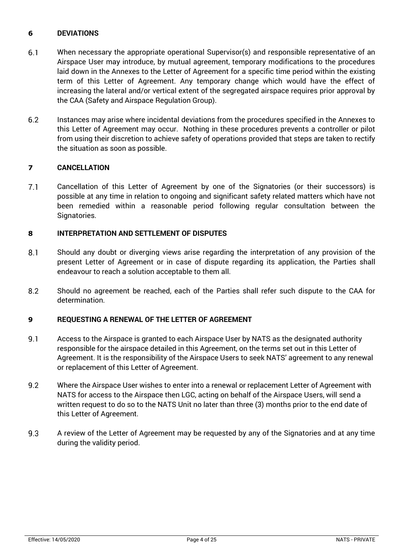#### **6 DEVIATIONS**

- 6.1 When necessary the appropriate operational Supervisor(s) and responsible representative of an Airspace User may introduce, by mutual agreement, temporary modifications to the procedures laid down in the Annexes to the Letter of Agreement for a specific time period within the existing term of this Letter of Agreement. Any temporary change which would have the effect of increasing the lateral and/or vertical extent of the segregated airspace requires prior approval by the CAA (Safety and Airspace Regulation Group).
- $6.2$ Instances may arise where incidental deviations from the procedures specified in the Annexes to this Letter of Agreement may occur. Nothing in these procedures prevents a controller or pilot from using their discretion to achieve safety of operations provided that steps are taken to rectify the situation as soon as possible.

#### **7 CANCELLATION**

 $7.1$ Cancellation of this Letter of Agreement by one of the Signatories (or their successors) is possible at any time in relation to ongoing and significant safety related matters which have not been remedied within a reasonable period following regular consultation between the Signatories.

#### **8 INTERPRETATION AND SETTLEMENT OF DISPUTES**

- $8.1$ Should any doubt or diverging views arise regarding the interpretation of any provision of the present Letter of Agreement or in case of dispute regarding its application, the Parties shall endeavour to reach a solution acceptable to them all.
- 8.2 Should no agreement be reached, each of the Parties shall refer such dispute to the CAA for determination.

#### **9 REQUESTING A RENEWAL OF THE LETTER OF AGREEMENT**

- $9.1$ Access to the Airspace is granted to each Airspace User by NATS as the designated authority responsible for the airspace detailed in this Agreement, on the terms set out in this Letter of Agreement. It is the responsibility of the Airspace Users to seek NATS' agreement to any renewal or replacement of this Letter of Agreement.
- $9.2$ Where the Airspace User wishes to enter into a renewal or replacement Letter of Agreement with NATS for access to the Airspace then LGC, acting on behalf of the Airspace Users, will send a written request to do so to the NATS Unit no later than three (3) months prior to the end date of this Letter of Agreement.
- $9.3$ A review of the Letter of Agreement may be requested by any of the Signatories and at any time during the validity period.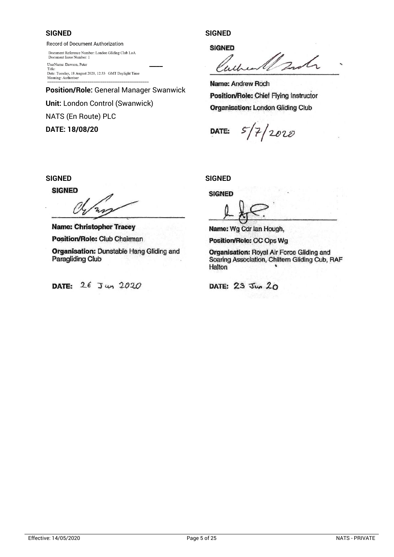#### **SIGNED SIGNED**

Record of Document Authorization

Document Reference Number: London Gliding Club LoA Document Issue Number: 1

Title: Tuesday, 18 August 2020, 12:33 GMT Daylight Time<br>Meaning: Authoriser<br>Mame: **Name: Andrew Roch** 

**Position/Role:** General Manager Swanwick **Position/Role:** Chief Flying Instructor **Unit:** London Control (Swanwick) **Organisation: London Gliding Club** NATS (En Route) PLC

**DATE: 18/08/20 DATE:**

**SIGNED** 

Document Reference Number: 1<br>
Document Resue Number: 1<br>
UserName: Dawson, Peter<br>
Title:

 $5/7/2020$ 

#### **SIGNED SIGNED**

**SIGNED** 

**Name:** Christopher Tracey **Name:** Paul Moslin

Position/Role: OC Ops Wg

**Organisation:** Royal Air Force Gliding and Soaring Association, Chiltern Gliding Cub, RAF Halton

**SIGNED** 

 $\mathbb{Z}$ 

**Position/Role: Club Chairman <b>Position/Role:** CC Ops W.<br>**Position/Role:** Club Chairman **Position/Role:** CC Ops W.

**Organisation:** Dunstable Hang Gliding and Paragliding Club

**DATE:** 26 Jun 2020 **DATE:** 23 Jun 20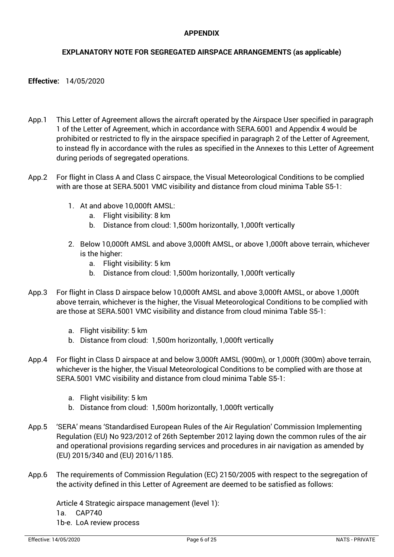#### **APPENDIX**

#### **EXPLANATORY NOTE FOR SEGREGATED AIRSPACE ARRANGEMENTS (as applicable)**

#### **Effective:** 14/05/2020

- App.1 This Letter of Agreement allows the aircraft operated by the Airspace User specified in paragraph 1 of the Letter of Agreement, which in accordance with SERA.6001 and Appendix 4 would be prohibited or restricted to fly in the airspace specified in paragraph 2 of the Letter of Agreement, to instead fly in accordance with the rules as specified in the Annexes to this Letter of Agreement during periods of segregated operations.
- App.2 For flight in Class A and Class C airspace, the Visual Meteorological Conditions to be complied with are those at SERA.5001 VMC visibility and distance from cloud minima Table S5-1:
	- 1. At and above 10,000ft AMSL:
		- a. Flight visibility: 8 km
		- b. Distance from cloud: 1,500m horizontally, 1,000ft vertically
	- 2. Below 10,000ft AMSL and above 3,000ft AMSL, or above 1,000ft above terrain, whichever is the higher:
		- a. Flight visibility: 5 km
		- b. Distance from cloud: 1,500m horizontally, 1,000ft vertically
- App.3 For flight in Class D airspace below 10,000ft AMSL and above 3,000ft AMSL, or above 1,000ft above terrain, whichever is the higher, the Visual Meteorological Conditions to be complied with are those at SERA.5001 VMC visibility and distance from cloud minima Table S5-1:
	- a. Flight visibility: 5 km
	- b. Distance from cloud: 1,500m horizontally, 1,000ft vertically
- App.4 For flight in Class D airspace at and below 3,000ft AMSL (900m), or 1,000ft (300m) above terrain, whichever is the higher, the Visual Meteorological Conditions to be complied with are those at SERA.5001 VMC visibility and distance from cloud minima Table S5-1:
	- a. Flight visibility: 5 km
	- b. Distance from cloud: 1,500m horizontally, 1,000ft vertically
- App.5 'SERA' means 'Standardised European Rules of the Air Regulation' Commission Implementing Regulation (EU) No 923/2012 of 26th September 2012 laying down the common rules of the air and operational provisions regarding services and procedures in air navigation as amended by (EU) 2015/340 and (EU) 2016/1185.
- App.6 The requirements of Commission Regulation (EC) 2150/2005 with respect to the segregation of the activity defined in this Letter of Agreement are deemed to be satisfied as follows:

Article 4 Strategic airspace management (level 1): 1a. CAP740 1b-e. LoA review process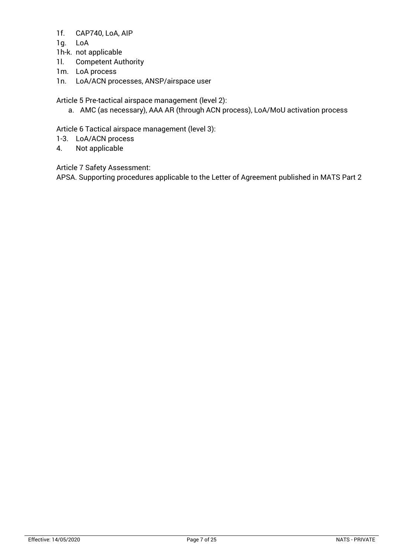- 1f. CAP740, LoA, AIP
- 1g. LoA
- 1h-k. not applicable
- 1l. Competent Authority
- 1m. LoA process
- 1n. LoA/ACN processes, ANSP/airspace user

Article 5 Pre-tactical airspace management (level 2):

a. AMC (as necessary), AAA AR (through ACN process), LoA/MoU activation process

Article 6 Tactical airspace management (level 3):

- 1-3. LoA/ACN process
- 4. Not applicable

Article 7 Safety Assessment:

APSA. Supporting procedures applicable to the Letter of Agreement published in MATS Part 2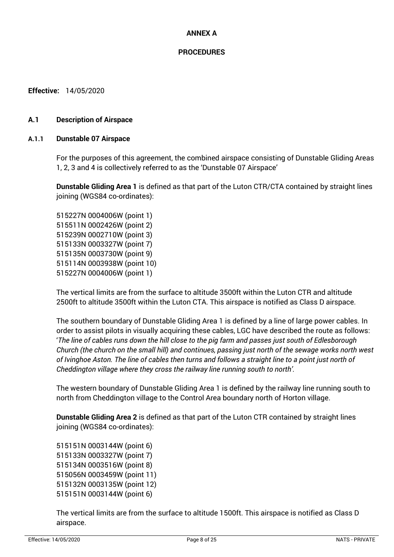#### **ANNEX A**

#### **PROCEDURES**

**Effective:** 14/05/2020

#### **A.1 Description of Airspace**

#### **A.1.1 Dunstable 07 Airspace**

For the purposes of this agreement, the combined airspace consisting of Dunstable Gliding Areas 1, 2, 3 and 4 is collectively referred to as the 'Dunstable 07 Airspace'

**Dunstable Gliding Area 1** is defined as that part of the Luton CTR/CTA contained by straight lines joining (WGS84 co-ordinates):

515227N 0004006W (point 1) 515511N 0002426W (point 2) 515239N 0002710W (point 3) 515133N 0003327W (point 7) 515135N 0003730W (point 9) 515114N 0003938W (point 10) 515227N 0004006W (point 1)

The vertical limits are from the surface to altitude 3500ft within the Luton CTR and altitude 2500ft to altitude 3500ft within the Luton CTA. This airspace is notified as Class D airspace.

The southern boundary of Dunstable Gliding Area 1 is defined by a line of large power cables. In order to assist pilots in visually acquiring these cables, LGC have described the route as follows: '*The line of cables runs down the hill close to the pig farm and passes just south of Edlesborough Church (the church on the small hill) and continues, passing just north of the sewage works north west of Ivinghoe Aston. The line of cables then turns and follows a straight line to a point just north of Cheddington village where they cross the railway line running south to north'.*

The western boundary of Dunstable Gliding Area 1 is defined by the railway line running south to north from Cheddington village to the Control Area boundary north of Horton village.

**Dunstable Gliding Area 2** is defined as that part of the Luton CTR contained by straight lines joining (WGS84 co-ordinates):

515151N 0003144W (point 6) 515133N 0003327W (point 7) 515134N 0003516W (point 8) 515056N 0003459W (point 11) 515132N 0003135W (point 12) 515151N 0003144W (point 6)

The vertical limits are from the surface to altitude 1500ft. This airspace is notified as Class D airspace.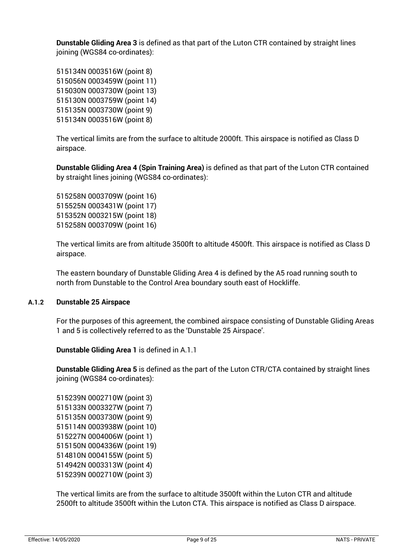**Dunstable Gliding Area 3** is defined as that part of the Luton CTR contained by straight lines joining (WGS84 co-ordinates):

515134N 0003516W (point 8) 515056N 0003459W (point 11) 515030N 0003730W (point 13) 515130N 0003759W (point 14) 515135N 0003730W (point 9) 515134N 0003516W (point 8)

The vertical limits are from the surface to altitude 2000ft. This airspace is notified as Class D airspace.

**Dunstable Gliding Area 4 (Spin Training Area)** is defined as that part of the Luton CTR contained by straight lines joining (WGS84 co-ordinates):

515258N 0003709W (point 16) 515525N 0003431W (point 17) 515352N 0003215W (point 18) 515258N 0003709W (point 16)

The vertical limits are from altitude 3500ft to altitude 4500ft. This airspace is notified as Class D airspace.

The eastern boundary of Dunstable Gliding Area 4 is defined by the A5 road running south to north from Dunstable to the Control Area boundary south east of Hockliffe.

#### **A.1.2 Dunstable 25 Airspace**

For the purposes of this agreement, the combined airspace consisting of Dunstable Gliding Areas 1 and 5 is collectively referred to as the 'Dunstable 25 Airspace'.

**Dunstable Gliding Area 1** is defined in A.1.1

**Dunstable Gliding Area 5** is defined as the part of the Luton CTR/CTA contained by straight lines joining (WGS84 co-ordinates):

515239N 0002710W (point 3) 515133N 0003327W (point 7) 515135N 0003730W (point 9) 515114N 0003938W (point 10) 515227N 0004006W (point 1) 515150N 0004336W (point 19) 514810N 0004155W (point 5) 514942N 0003313W (point 4) 515239N 0002710W (point 3)

The vertical limits are from the surface to altitude 3500ft within the Luton CTR and altitude 2500ft to altitude 3500ft within the Luton CTA. This airspace is notified as Class D airspace.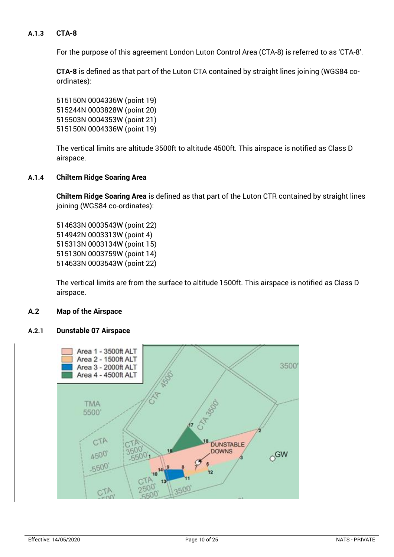#### **A.1.3 CTA-8**

For the purpose of this agreement London Luton Control Area (CTA-8) is referred to as 'CTA-8'.

**CTA-8** is defined as that part of the Luton CTA contained by straight lines joining (WGS84 coordinates):

515150N 0004336W (point 19) 515244N 0003828W (point 20) 515503N 0004353W (point 21) 515150N 0004336W (point 19)

The vertical limits are altitude 3500ft to altitude 4500ft. This airspace is notified as Class D airspace.

#### **A.1.4 Chiltern Ridge Soaring Area**

**Chiltern Ridge Soaring Area** is defined as that part of the Luton CTR contained by straight lines joining (WGS84 co-ordinates):

514633N 0003543W (point 22) 514942N 0003313W (point 4) 515313N 0003134W (point 15) 515130N 0003759W (point 14) 514633N 0003543W (point 22)

The vertical limits are from the surface to altitude 1500ft. This airspace is notified as Class D airspace.

#### **A.2 Map of the Airspace**

#### **A.2.1 Dunstable 07 Airspace**

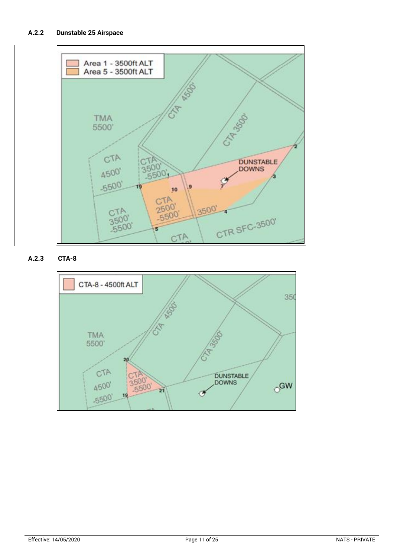

**A.2.3 CTA-8**

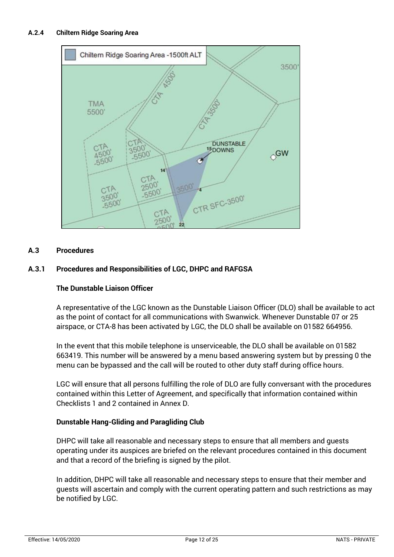

#### **A.3 Procedures**

#### **A.3.1 Procedures and Responsibilities of LGC, DHPC and RAFGSA**

#### **The Dunstable Liaison Officer**

A representative of the LGC known as the Dunstable Liaison Officer (DLO) shall be available to act as the point of contact for all communications with Swanwick. Whenever Dunstable 07 or 25 airspace, or CTA-8 has been activated by LGC, the DLO shall be available on 01582 664956.

In the event that this mobile telephone is unserviceable, the DLO shall be available on 01582 663419. This number will be answered by a menu based answering system but by pressing 0 the menu can be bypassed and the call will be routed to other duty staff during office hours.

LGC will ensure that all persons fulfilling the role of DLO are fully conversant with the procedures contained within this Letter of Agreement, and specifically that information contained within Checklists 1 and 2 contained in Annex D.

#### **Dunstable Hang-Gliding and Paragliding Club**

DHPC will take all reasonable and necessary steps to ensure that all members and guests operating under its auspices are briefed on the relevant procedures contained in this document and that a record of the briefing is signed by the pilot.

In addition, DHPC will take all reasonable and necessary steps to ensure that their member and guests will ascertain and comply with the current operating pattern and such restrictions as may be notified by LGC.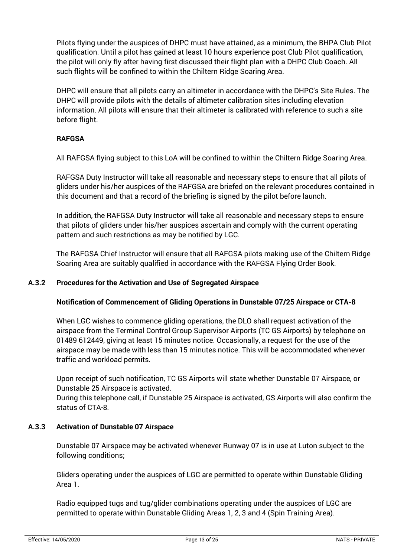Pilots flying under the auspices of DHPC must have attained, as a minimum, the BHPA Club Pilot qualification. Until a pilot has gained at least 10 hours experience post Club Pilot qualification, the pilot will only fly after having first discussed their flight plan with a DHPC Club Coach. All such flights will be confined to within the Chiltern Ridge Soaring Area.

DHPC will ensure that all pilots carry an altimeter in accordance with the DHPC's Site Rules. The DHPC will provide pilots with the details of altimeter calibration sites including elevation information. All pilots will ensure that their altimeter is calibrated with reference to such a site before flight.

#### **RAFGSA**

All RAFGSA flying subject to this LoA will be confined to within the Chiltern Ridge Soaring Area.

RAFGSA Duty Instructor will take all reasonable and necessary steps to ensure that all pilots of gliders under his/her auspices of the RAFGSA are briefed on the relevant procedures contained in this document and that a record of the briefing is signed by the pilot before launch.

In addition, the RAFGSA Duty Instructor will take all reasonable and necessary steps to ensure that pilots of gliders under his/her auspices ascertain and comply with the current operating pattern and such restrictions as may be notified by LGC.

The RAFGSA Chief Instructor will ensure that all RAFGSA pilots making use of the Chiltern Ridge Soaring Area are suitably qualified in accordance with the RAFGSA Flying Order Book.

#### **A.3.2 Procedures for the Activation and Use of Segregated Airspace**

#### **Notification of Commencement of Gliding Operations in Dunstable 07/25 Airspace or CTA-8**

When LGC wishes to commence gliding operations, the DLO shall request activation of the airspace from the Terminal Control Group Supervisor Airports (TC GS Airports) by telephone on 01489 612449, giving at least 15 minutes notice. Occasionally, a request for the use of the airspace may be made with less than 15 minutes notice. This will be accommodated whenever traffic and workload permits.

Upon receipt of such notification, TC GS Airports will state whether Dunstable 07 Airspace, or Dunstable 25 Airspace is activated.

During this telephone call, if Dunstable 25 Airspace is activated, GS Airports will also confirm the status of CTA-8.

#### **A.3.3 Activation of Dunstable 07 Airspace**

Dunstable 07 Airspace may be activated whenever Runway 07 is in use at Luton subject to the following conditions;

Gliders operating under the auspices of LGC are permitted to operate within Dunstable Gliding Area 1.

Radio equipped tugs and tug/glider combinations operating under the auspices of LGC are permitted to operate within Dunstable Gliding Areas 1, 2, 3 and 4 (Spin Training Area).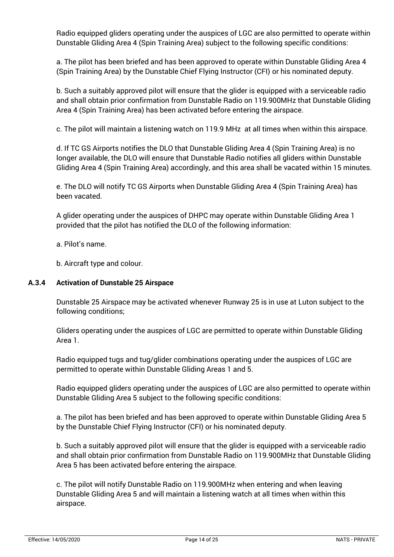Radio equipped gliders operating under the auspices of LGC are also permitted to operate within Dunstable Gliding Area 4 (Spin Training Area) subject to the following specific conditions:

a. The pilot has been briefed and has been approved to operate within Dunstable Gliding Area 4 (Spin Training Area) by the Dunstable Chief Flying Instructor (CFI) or his nominated deputy.

b. Such a suitably approved pilot will ensure that the glider is equipped with a serviceable radio and shall obtain prior confirmation from Dunstable Radio on 119.900MHz that Dunstable Gliding Area 4 (Spin Training Area) has been activated before entering the airspace.

c. The pilot will maintain a listening watch on 119.9 MHz at all times when within this airspace.

d. If TC GS Airports notifies the DLO that Dunstable Gliding Area 4 (Spin Training Area) is no longer available, the DLO will ensure that Dunstable Radio notifies all gliders within Dunstable Gliding Area 4 (Spin Training Area) accordingly, and this area shall be vacated within 15 minutes.

e. The DLO will notify TC GS Airports when Dunstable Gliding Area 4 (Spin Training Area) has been vacated.

A glider operating under the auspices of DHPC may operate within Dunstable Gliding Area 1 provided that the pilot has notified the DLO of the following information:

a. Pilot's name.

b. Aircraft type and colour.

#### **A.3.4 Activation of Dunstable 25 Airspace**

Dunstable 25 Airspace may be activated whenever Runway 25 is in use at Luton subject to the following conditions;

Gliders operating under the auspices of LGC are permitted to operate within Dunstable Gliding Area 1.

Radio equipped tugs and tug/glider combinations operating under the auspices of LGC are permitted to operate within Dunstable Gliding Areas 1 and 5.

Radio equipped gliders operating under the auspices of LGC are also permitted to operate within Dunstable Gliding Area 5 subject to the following specific conditions:

a. The pilot has been briefed and has been approved to operate within Dunstable Gliding Area 5 by the Dunstable Chief Flying Instructor (CFI) or his nominated deputy.

b. Such a suitably approved pilot will ensure that the glider is equipped with a serviceable radio and shall obtain prior confirmation from Dunstable Radio on 119.900MHz that Dunstable Gliding Area 5 has been activated before entering the airspace.

c. The pilot will notify Dunstable Radio on 119.900MHz when entering and when leaving Dunstable Gliding Area 5 and will maintain a listening watch at all times when within this airspace.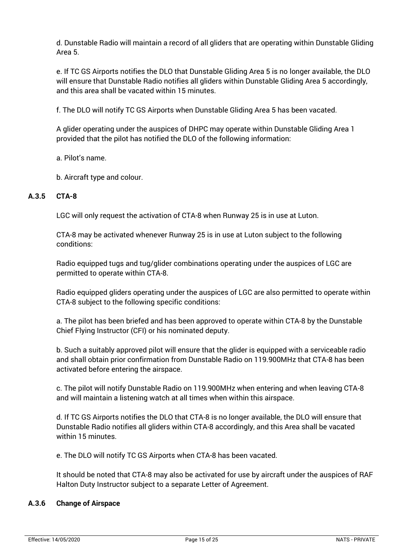d. Dunstable Radio will maintain a record of all gliders that are operating within Dunstable Gliding Area 5.

e. If TC GS Airports notifies the DLO that Dunstable Gliding Area 5 is no longer available, the DLO will ensure that Dunstable Radio notifies all gliders within Dunstable Gliding Area 5 accordingly, and this area shall be vacated within 15 minutes.

f. The DLO will notify TC GS Airports when Dunstable Gliding Area 5 has been vacated.

A glider operating under the auspices of DHPC may operate within Dunstable Gliding Area 1 provided that the pilot has notified the DLO of the following information:

a. Pilot's name.

b. Aircraft type and colour.

#### **A.3.5 CTA-8**

LGC will only request the activation of CTA-8 when Runway 25 is in use at Luton.

CTA-8 may be activated whenever Runway 25 is in use at Luton subject to the following conditions:

Radio equipped tugs and tug/glider combinations operating under the auspices of LGC are permitted to operate within CTA-8.

Radio equipped gliders operating under the auspices of LGC are also permitted to operate within CTA-8 subject to the following specific conditions:

a. The pilot has been briefed and has been approved to operate within CTA-8 by the Dunstable Chief Flying Instructor (CFI) or his nominated deputy.

b. Such a suitably approved pilot will ensure that the glider is equipped with a serviceable radio and shall obtain prior confirmation from Dunstable Radio on 119.900MHz that CTA-8 has been activated before entering the airspace.

c. The pilot will notify Dunstable Radio on 119.900MHz when entering and when leaving CTA-8 and will maintain a listening watch at all times when within this airspace.

d. If TC GS Airports notifies the DLO that CTA-8 is no longer available, the DLO will ensure that Dunstable Radio notifies all gliders within CTA-8 accordingly, and this Area shall be vacated within 15 minutes.

e. The DLO will notify TC GS Airports when CTA-8 has been vacated.

It should be noted that CTA-8 may also be activated for use by aircraft under the auspices of RAF Halton Duty Instructor subject to a separate Letter of Agreement.

#### **A.3.6 Change of Airspace**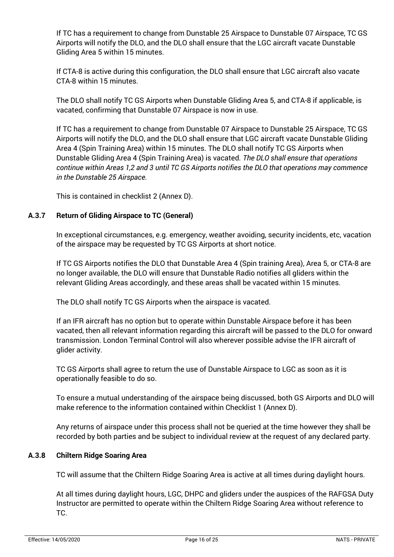If TC has a requirement to change from Dunstable 25 Airspace to Dunstable 07 Airspace, TC GS Airports will notify the DLO, and the DLO shall ensure that the LGC aircraft vacate Dunstable Gliding Area 5 within 15 minutes.

If CTA-8 is active during this configuration, the DLO shall ensure that LGC aircraft also vacate CTA-8 within 15 minutes.

The DLO shall notify TC GS Airports when Dunstable Gliding Area 5, and CTA-8 if applicable, is vacated, confirming that Dunstable 07 Airspace is now in use.

If TC has a requirement to change from Dunstable 07 Airspace to Dunstable 25 Airspace, TC GS Airports will notify the DLO, and the DLO shall ensure that LGC aircraft vacate Dunstable Gliding Area 4 (Spin Training Area) within 15 minutes. The DLO shall notify TC GS Airports when Dunstable Gliding Area 4 (Spin Training Area) is vacated. *The DLO shall ensure that operations continue within Areas 1,2 and 3 until TC GS Airports notifies the DLO that operations may commence in the Dunstable 25 Airspace.*

This is contained in checklist 2 (Annex D).

#### **A.3.7 Return of Gliding Airspace to TC (General)**

In exceptional circumstances, e.g. emergency, weather avoiding, security incidents, etc, vacation of the airspace may be requested by TC GS Airports at short notice.

If TC GS Airports notifies the DLO that Dunstable Area 4 (Spin training Area), Area 5, or CTA-8 are no longer available, the DLO will ensure that Dunstable Radio notifies all gliders within the relevant Gliding Areas accordingly, and these areas shall be vacated within 15 minutes.

The DLO shall notify TC GS Airports when the airspace is vacated.

If an IFR aircraft has no option but to operate within Dunstable Airspace before it has been vacated, then all relevant information regarding this aircraft will be passed to the DLO for onward transmission. London Terminal Control will also wherever possible advise the IFR aircraft of glider activity.

TC GS Airports shall agree to return the use of Dunstable Airspace to LGC as soon as it is operationally feasible to do so.

To ensure a mutual understanding of the airspace being discussed, both GS Airports and DLO will make reference to the information contained within Checklist 1 (Annex D).

Any returns of airspace under this process shall not be queried at the time however they shall be recorded by both parties and be subject to individual review at the request of any declared party.

#### **A.3.8 Chiltern Ridge Soaring Area**

TC will assume that the Chiltern Ridge Soaring Area is active at all times during daylight hours.

At all times during daylight hours, LGC, DHPC and gliders under the auspices of the RAFGSA Duty Instructor are permitted to operate within the Chiltern Ridge Soaring Area without reference to TC.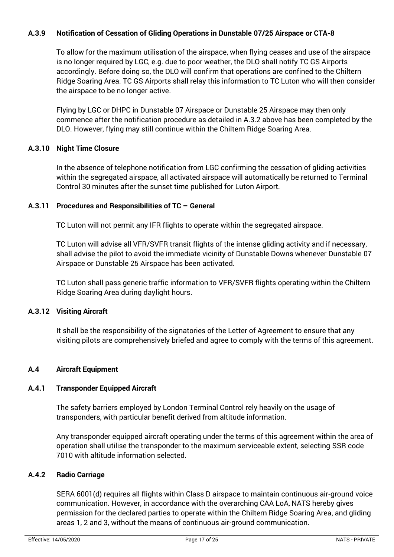#### **A.3.9 Notification of Cessation of Gliding Operations in Dunstable 07/25 Airspace or CTA-8**

To allow for the maximum utilisation of the airspace, when flying ceases and use of the airspace is no longer required by LGC, e.g. due to poor weather, the DLO shall notify TC GS Airports accordingly. Before doing so, the DLO will confirm that operations are confined to the Chiltern Ridge Soaring Area. TC GS Airports shall relay this information to TC Luton who will then consider the airspace to be no longer active.

Flying by LGC or DHPC in Dunstable 07 Airspace or Dunstable 25 Airspace may then only commence after the notification procedure as detailed in A.3.2 above has been completed by the DLO. However, flying may still continue within the Chiltern Ridge Soaring Area.

#### **A.3.10 Night Time Closure**

In the absence of telephone notification from LGC confirming the cessation of gliding activities within the segregated airspace, all activated airspace will automatically be returned to Terminal Control 30 minutes after the sunset time published for Luton Airport.

#### **A.3.11 Procedures and Responsibilities of TC – General**

TC Luton will not permit any IFR flights to operate within the segregated airspace.

TC Luton will advise all VFR/SVFR transit flights of the intense gliding activity and if necessary, shall advise the pilot to avoid the immediate vicinity of Dunstable Downs whenever Dunstable 07 Airspace or Dunstable 25 Airspace has been activated.

TC Luton shall pass generic traffic information to VFR/SVFR flights operating within the Chiltern Ridge Soaring Area during daylight hours.

#### **A.3.12 Visiting Aircraft**

It shall be the responsibility of the signatories of the Letter of Agreement to ensure that any visiting pilots are comprehensively briefed and agree to comply with the terms of this agreement.

#### **A.4 Aircraft Equipment**

#### **A.4.1 Transponder Equipped Aircraft**

The safety barriers employed by London Terminal Control rely heavily on the usage of transponders, with particular benefit derived from altitude information.

Any transponder equipped aircraft operating under the terms of this agreement within the area of operation shall utilise the transponder to the maximum serviceable extent, selecting SSR code 7010 with altitude information selected.

#### **A.4.2 Radio Carriage**

SERA 6001(d) requires all flights within Class D airspace to maintain continuous air-ground voice communication. However, in accordance with the overarching CAA LoA, NATS hereby gives permission for the declared parties to operate within the Chiltern Ridge Soaring Area, and gliding areas 1, 2 and 3, without the means of continuous air-ground communication.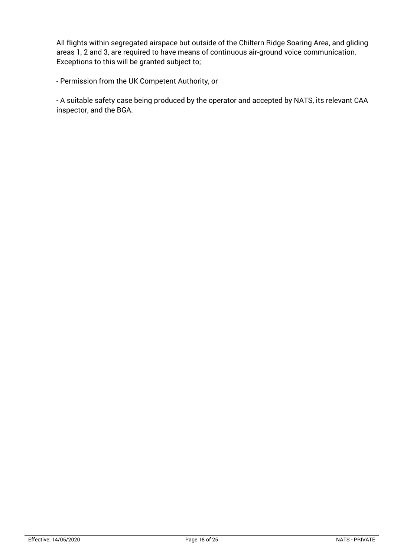All flights within segregated airspace but outside of the Chiltern Ridge Soaring Area, and gliding areas 1, 2 and 3, are required to have means of continuous air-ground voice communication. Exceptions to this will be granted subject to;

- Permission from the UK Competent Authority, or

- A suitable safety case being produced by the operator and accepted by NATS, its relevant CAA inspector, and the BGA.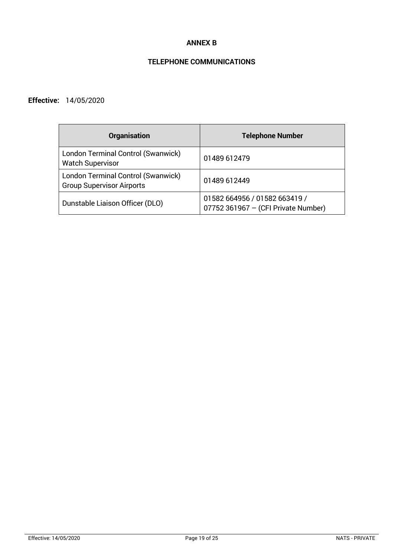#### **ANNEX B**

# **TELEPHONE COMMUNICATIONS**

### **Effective:** 14/05/2020

| <b>Organisation</b>                                                    | <b>Telephone Number</b>                                              |
|------------------------------------------------------------------------|----------------------------------------------------------------------|
| London Terminal Control (Swanwick)<br><b>Watch Supervisor</b>          | 01489 612479                                                         |
| London Terminal Control (Swanwick)<br><b>Group Supervisor Airports</b> | 01489 612449                                                         |
| Dunstable Liaison Officer (DLO)                                        | 01582 664956 / 01582 663419 /<br>07752 361967 - (CFI Private Number) |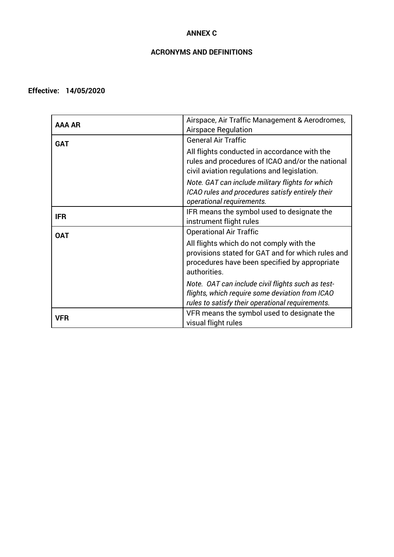#### **ANNEX C**

### **ACRONYMS AND DEFINITIONS**

#### **Effective: 14/05/2020**

| AAA AR     | Airspace, Air Traffic Management & Aerodromes,<br><b>Airspace Regulation</b>                                                                                   |  |
|------------|----------------------------------------------------------------------------------------------------------------------------------------------------------------|--|
| <b>GAT</b> | <b>General Air Traffic</b>                                                                                                                                     |  |
|            | All flights conducted in accordance with the<br>rules and procedures of ICAO and/or the national<br>civil aviation regulations and legislation.                |  |
|            | Note. GAT can include military flights for which<br>ICAO rules and procedures satisfy entirely their<br>operational requirements.                              |  |
| <b>IFR</b> | IFR means the symbol used to designate the<br>instrument flight rules                                                                                          |  |
| <b>OAT</b> | <b>Operational Air Traffic</b>                                                                                                                                 |  |
|            | All flights which do not comply with the<br>provisions stated for GAT and for which rules and<br>procedures have been specified by appropriate<br>authorities. |  |
|            | Note. OAT can include civil flights such as test-<br>flights, which require some deviation from ICAO<br>rules to satisfy their operational requirements.       |  |
| VFR        | VFR means the symbol used to designate the<br>visual flight rules                                                                                              |  |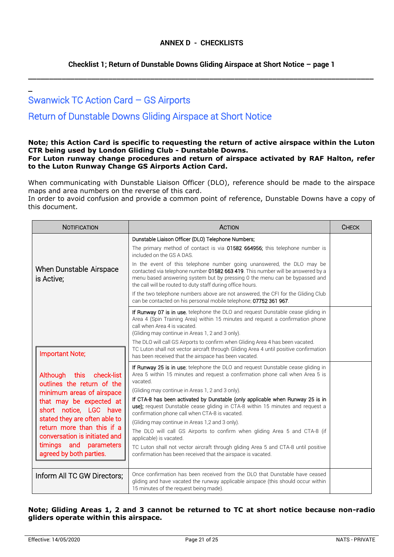#### **Checklist 1; Return of Dunstable Downs Gliding Airspace at Short Notice – page 1**

\_\_\_\_\_\_\_\_\_\_\_\_\_\_\_\_\_\_\_\_\_\_\_\_\_\_\_\_\_\_\_\_\_\_\_\_\_\_\_\_\_\_\_\_\_\_\_\_\_\_\_\_\_\_\_\_\_\_\_\_\_\_\_\_\_\_\_\_\_\_\_\_\_\_\_\_\_\_\_\_\_\_

# Swanwick TC Action Card – GS Airports

\_

# Return of Dunstable Downs Gliding Airspace at Short Notice

# **Note; this Action Card is specific to requesting the return of active airspace within the Luton CTR being used by London Gliding Club - Dunstable Downs.**

#### **For Luton runway change procedures and return of airspace activated by RAF Halton, refer to the Luton Runway Change GS Airports Action Card.**

When communicating with Dunstable Liaison Officer (DLO), reference should be made to the airspace maps and area numbers on the reverse of this card.

In order to avoid confusion and provide a common point of reference, Dunstable Downs have a copy of this document.

| <b>NOTIFICATION</b>                                                                                                                                                                                                                                                                              | <b>ACTION</b>                                                                                                                                                                                                                                                                                                                                                                                                                                                                                                                                                                                                                                                                                                                                                             | <b>CHECK</b> |
|--------------------------------------------------------------------------------------------------------------------------------------------------------------------------------------------------------------------------------------------------------------------------------------------------|---------------------------------------------------------------------------------------------------------------------------------------------------------------------------------------------------------------------------------------------------------------------------------------------------------------------------------------------------------------------------------------------------------------------------------------------------------------------------------------------------------------------------------------------------------------------------------------------------------------------------------------------------------------------------------------------------------------------------------------------------------------------------|--------------|
| When Dunstable Airspace<br>is Active;                                                                                                                                                                                                                                                            | Dunstable Liaison Officer (DLO) Telephone Numbers;<br>The primary method of contact is via 01582 664956; this telephone number is<br>included on the GS A DAS.<br>In the event of this telephone number going unanswered, the DLO may be<br>contacted via telephone number 01582 663 419. This number will be answered by a<br>menu based answering system but by pressing 0 the menu can be bypassed and<br>the call will be routed to duty staff during office hours.<br>If the two telephone numbers above are not answered, the CFI for the Gliding Club<br>can be contacted on his personal mobile telephone; 07752 361 967.                                                                                                                                         |              |
| <b>Important Note;</b>                                                                                                                                                                                                                                                                           | If Runway 07 is in use, telephone the DLO and request Dunstable cease gliding in<br>Area 4 (Spin Training Area) within 15 minutes and request a confirmation phone<br>call when Area 4 is vacated.<br>(Gliding may continue in Areas 1, 2 and 3 only).<br>The DLO will call GS Airports to confirm when Gliding Area 4 has been vacated.<br>TC Luton shall not vector aircraft through Gliding Area 4 until positive confirmation<br>has been received that the airspace has been vacated.                                                                                                                                                                                                                                                                                |              |
| Although this<br>check-list<br>outlines the return of the<br>minimum areas of airspace<br>that may be expected at<br>short notice, LGC have<br>stated they are often able to<br>return more than this if a<br>conversation is initiated and<br>timings and parameters<br>agreed by both parties. | If Runway 25 is in use; telephone the DLO and request Dunstable cease gliding in<br>Area 5 within 15 minutes and request a confirmation phone call when Area 5 is<br>vacated.<br>(Gliding may continue in Areas 1, 2 and 3 only).<br>If CTA-8 has been activated by Dunstable (only applicable when Runway 25 is in<br>use); request Dunstable cease gliding in CTA-8 within 15 minutes and request a<br>confirmation phone call when CTA-8 is vacated.<br>(Gliding may continue in Areas 1,2 and 3 only).<br>The DLO will call GS Airports to confirm when gliding Area 5 and CTA-8 (if<br>applicable) is vacated.<br>TC Luton shall not vector aircraft through gliding Area 5 and CTA-8 until positive<br>confirmation has been received that the airspace is vacated. |              |
| Inform All TC GW Directors;                                                                                                                                                                                                                                                                      | Once confirmation has been received from the DLO that Dunstable have ceased<br>gliding and have vacated the runway applicable airspace (this should occur within<br>15 minutes of the request being made).                                                                                                                                                                                                                                                                                                                                                                                                                                                                                                                                                                |              |

#### **Note; Gliding Areas 1, 2 and 3 cannot be returned to TC at short notice because non-radio gliders operate within this airspace.**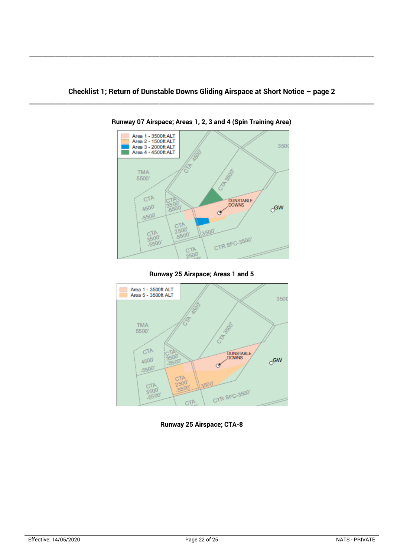**\_\_\_\_\_\_\_\_\_\_\_\_\_\_\_\_\_\_\_\_\_\_\_\_\_\_\_\_\_\_\_\_\_\_\_\_\_\_\_\_\_\_\_\_\_\_\_\_\_\_\_\_\_\_\_\_\_\_\_\_\_\_\_\_\_\_\_\_\_\_\_\_\_\_\_\_\_\_\_\_\_\_\_\_\_\_\_\_\_\_\_\_\_\_\_\_\_\_\_\_\_\_\_\_\_\_**



**Runway 07 Airspace; Areas 1, 2, 3 and 4 (Spin Training Area)**

**Runway 25 Airspace; Areas 1 and 5**



**Runway 25 Airspace; CTA-8**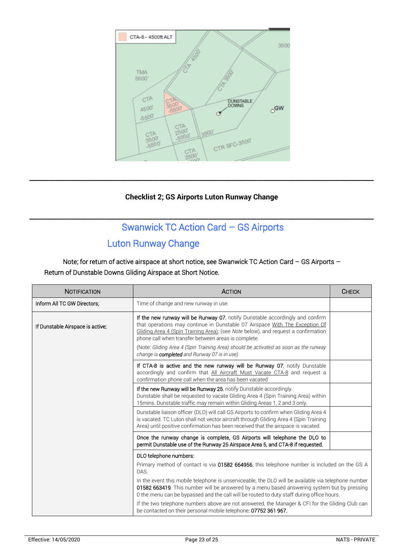

#### **Checklist 2; GS Airports Luton Runway Change**

**\_\_\_\_\_\_\_\_\_\_\_\_\_\_\_\_\_\_\_\_\_\_\_\_\_\_\_\_\_\_\_\_\_\_\_\_\_\_\_\_\_\_\_\_\_\_\_\_\_\_\_\_\_\_\_\_\_\_\_\_\_\_\_\_\_\_\_\_\_\_\_\_\_\_\_\_\_\_\_\_\_\_\_\_\_\_\_\_\_\_\_\_\_\_\_\_\_\_\_\_\_\_\_\_\_\_**

# **\_\_\_\_\_\_\_\_\_\_\_\_\_\_\_\_\_\_\_\_\_\_\_\_\_\_\_\_\_\_\_\_\_\_\_\_\_\_\_\_\_\_\_\_\_\_\_\_\_\_\_\_\_\_\_\_\_\_\_\_\_\_\_\_\_\_\_\_\_\_\_\_\_\_\_\_\_\_\_\_\_\_\_\_\_\_\_\_\_\_\_\_\_\_\_\_\_\_\_\_\_\_\_\_\_\_** Swanwick TC Action Card – GS Airports

# Luton Runway Change

Note; for return of active airspace at short notice, see Swanwick TC Action Card – GS Airports – Return of Dunstable Downs Gliding Airspace at Short Notice.

| NOTIFICATION                     | <b>ACTION</b>                                                                                                                                                                                                                                                                                                                                                                                                                                           | <b>CHECK</b> |
|----------------------------------|---------------------------------------------------------------------------------------------------------------------------------------------------------------------------------------------------------------------------------------------------------------------------------------------------------------------------------------------------------------------------------------------------------------------------------------------------------|--------------|
| Inform All TC GW Directors;      | Time of change and new runway in use.                                                                                                                                                                                                                                                                                                                                                                                                                   |              |
| If Dunstable Airspace is active; | If the new runway will be Runway 07, notify Dunstable accordingly and confirm<br>that operations may continue in Dunstable 07 Airspace With The Exception Of<br>Gliding Area 4 (Spin Training Area); (see Note below), and request a confirmation<br>phone call when transfer between areas is complete.<br>(Note: Gliding Area 4 (Spin Training Area) should be activated as soon as the runway<br>change is <b>completed</b> and Runway 07 is in use) |              |
|                                  | If CTA-8 is active and the new runway will be Runway 07, notify Dunstable<br>accordingly and confirm that All Aircraft Must Vacate CTA-8 and request a<br>confirmation phone call when the area has been vacated                                                                                                                                                                                                                                        |              |
|                                  | If the new Runway will be Runway 25, notify Dunstable accordingly.<br>Dunstable shall be requested to vacate Gliding Area 4 (Spin Training Area) within<br>15 mins. Dunstable traffic may remain within Gliding Areas 1, 2 and 3 only.                                                                                                                                                                                                                  |              |
|                                  | Dunstable liaison officer (DLO) will call GS Airports to confirm when Gliding Area 4<br>is vacated. TC Luton shall not vector aircraft through Gliding Area 4 (Spin Training<br>Area) until positive confirmation has been received that the airspace is vacated.                                                                                                                                                                                       |              |
|                                  | Once the runway change is complete, GS Airports will telephone the DLO to<br>permit Dunstable use of the Runway 25 Airspace Area 5, and CTA-8 if requested.                                                                                                                                                                                                                                                                                             |              |
|                                  | DLO telephone numbers:                                                                                                                                                                                                                                                                                                                                                                                                                                  |              |
|                                  | Primary method of contact is via 01582 664956; this telephone number is included on the GS A<br>DAS.                                                                                                                                                                                                                                                                                                                                                    |              |
|                                  | In the event this mobile telephone is unserviceable, the DLO will be available via telephone number<br>01582 663419. This number will be answered by a menu based answering system but by pressing<br>0 the menu can be bypassed and the call will be routed to duty staff during office hours.                                                                                                                                                         |              |
|                                  | If the two telephone numbers above are not answered, the Manager & CFI for the Gliding Club can<br>be contacted on their personal mobile telephone; 07752 361 967.                                                                                                                                                                                                                                                                                      |              |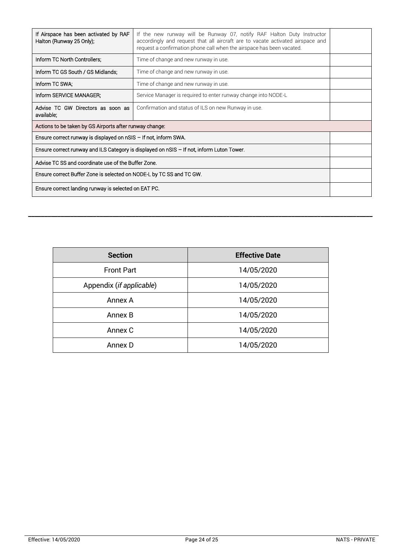| If Airspace has been activated by RAF<br>Halton (Runway 25 Only);                              | If the new runway will be Runway 07, notify RAF Halton Duty Instructor<br>accordingly and request that all aircraft are to vacate activated airspace and<br>request a confirmation phone call when the airspace has been vacated. |  |
|------------------------------------------------------------------------------------------------|-----------------------------------------------------------------------------------------------------------------------------------------------------------------------------------------------------------------------------------|--|
| Inform TC North Controllers:                                                                   | Time of change and new runway in use.                                                                                                                                                                                             |  |
| Inform TC GS South / GS Midlands:                                                              | Time of change and new runway in use.                                                                                                                                                                                             |  |
| Inform TC SWA;                                                                                 | Time of change and new runway in use.                                                                                                                                                                                             |  |
| Inform SERVICE MANAGER;                                                                        | Service Manager is required to enter runway change into NODE-L                                                                                                                                                                    |  |
| Advise TC GW Directors as soon as<br>available;                                                | Confirmation and status of ILS on new Runway in use.                                                                                                                                                                              |  |
| Actions to be taken by GS Airports after runway change:                                        |                                                                                                                                                                                                                                   |  |
| Ensure correct runway is displayed on nSIS - If not, inform SWA.                               |                                                                                                                                                                                                                                   |  |
| Ensure correct runway and ILS Category is displayed on $n$ SIS $-$ If not, inform Luton Tower. |                                                                                                                                                                                                                                   |  |
| Advise TC SS and coordinate use of the Buffer Zone.                                            |                                                                                                                                                                                                                                   |  |
| Ensure correct Buffer Zone is selected on NODE-L by TC SS and TC GW.                           |                                                                                                                                                                                                                                   |  |
| Ensure correct landing runway is selected on EAT PC.                                           |                                                                                                                                                                                                                                   |  |

**\_\_\_\_\_\_\_\_\_\_\_\_\_\_\_\_\_\_\_\_\_\_\_\_\_\_\_\_\_\_\_\_\_\_\_\_\_\_\_\_\_\_\_\_\_\_\_\_\_\_\_\_\_\_\_\_\_\_\_\_\_\_\_\_\_\_\_\_\_\_\_\_\_\_\_\_\_\_\_\_\_\_\_\_\_\_\_\_\_\_\_\_\_\_\_\_\_\_\_\_\_\_\_\_\_\_**

| <b>Section</b>           | <b>Effective Date</b> |
|--------------------------|-----------------------|
| <b>Front Part</b>        | 14/05/2020            |
| Appendix (if applicable) | 14/05/2020            |
| Annex A                  | 14/05/2020            |
| Annex B                  | 14/05/2020            |
| Annex C                  | 14/05/2020            |
| Annex D                  | 14/05/2020            |